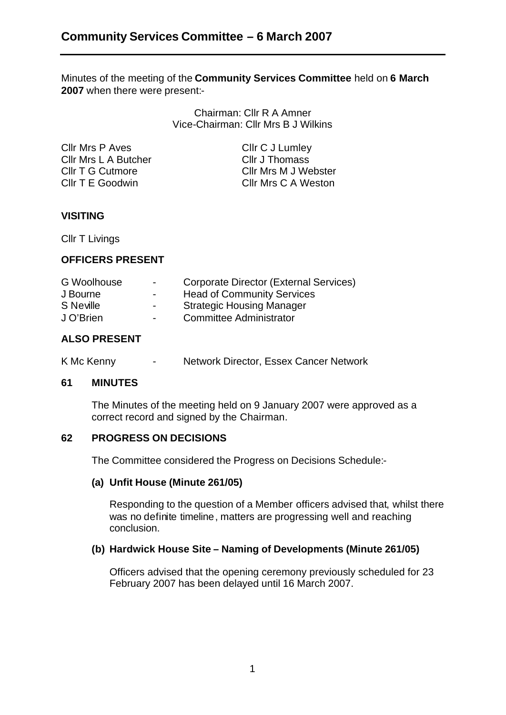Minutes of the meeting of the **Community Services Committee** held on **6 March 2007** when there were present:-

> Chairman: Cllr R A Amner Vice-Chairman: Cllr Mrs B J Wilkins

Cllr Mrs P Aves Cllr C J Lumley Cllr Mrs L A Butcher Cllr J Thomass Cllr T G Cutmore Cllr Mrs M J Webster Cllr T E Goodwin Cllr Mrs C A Weston

# **VISITING**

Cllr T Livings

## **OFFICERS PRESENT**

| G Woolhouse | $\blacksquare$ | Corporate Director (External Services) |
|-------------|----------------|----------------------------------------|
| J Bourne    | $\blacksquare$ | <b>Head of Community Services</b>      |
| S Neville   | $\blacksquare$ | <b>Strategic Housing Manager</b>       |
| J O'Brien   | $\sim$         | <b>Committee Administrator</b>         |
|             |                |                                        |

# **ALSO PRESENT**

K Mc Kenny - Network Director, Essex Cancer Network

#### **61 MINUTES**

The Minutes of the meeting held on 9 January 2007 were approved as a correct record and signed by the Chairman.

## **62 PROGRESS ON DECISIONS**

The Committee considered the Progress on Decisions Schedule:-

## **(a) Unfit House (Minute 261/05)**

Responding to the question of a Member officers advised that, whilst there was no definite timeline , matters are progressing well and reaching conclusion.

## **(b) Hardwick House Site – Naming of Developments (Minute 261/05)**

Officers advised that the opening ceremony previously scheduled for 23 February 2007 has been delayed until 16 March 2007.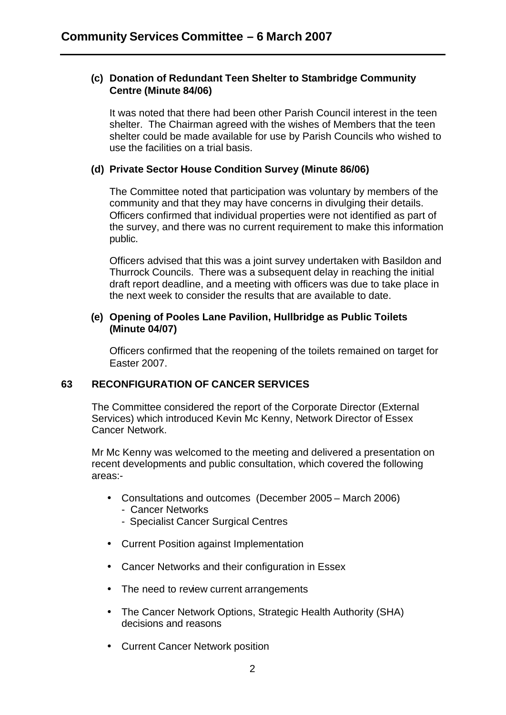### **(c) Donation of Redundant Teen Shelter to Stambridge Community Centre (Minute 84/06)**

It was noted that there had been other Parish Council interest in the teen shelter. The Chairman agreed with the wishes of Members that the teen shelter could be made available for use by Parish Councils who wished to use the facilities on a trial basis.

## **(d) Private Sector House Condition Survey (Minute 86/06)**

The Committee noted that participation was voluntary by members of the community and that they may have concerns in divulging their details. Officers confirmed that individual properties were not identified as part of the survey, and there was no current requirement to make this information public.

Officers advised that this was a joint survey undertaken with Basildon and Thurrock Councils. There was a subsequent delay in reaching the initial draft report deadline, and a meeting with officers was due to take place in the next week to consider the results that are available to date.

#### **(e) Opening of Pooles Lane Pavilion, Hullbridge as Public Toilets (Minute 04/07)**

Officers confirmed that the reopening of the toilets remained on target for Easter 2007.

## **63 RECONFIGURATION OF CANCER SERVICES**

The Committee considered the report of the Corporate Director (External Services) which introduced Kevin Mc Kenny, Network Director of Essex Cancer Network.

Mr Mc Kenny was welcomed to the meeting and delivered a presentation on recent developments and public consultation, which covered the following areas:-

- Consultations and outcomes (December 2005 March 2006)
	- Cancer Networks
	- Specialist Cancer Surgical Centres
- Current Position against Implementation
- Cancer Networks and their configuration in Essex
- The need to review current arrangements
- The Cancer Network Options, Strategic Health Authority (SHA) decisions and reasons
- Current Cancer Network position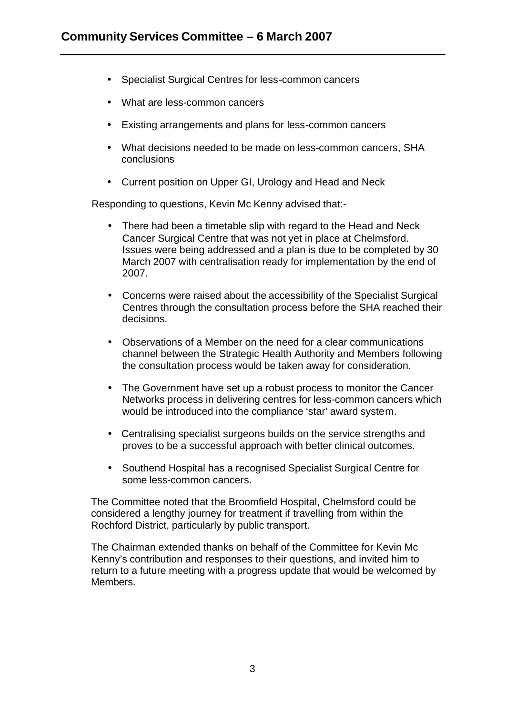- Specialist Surgical Centres for less-common cancers
- What are less-common cancers
- Existing arrangements and plans for less-common cancers
- What decisions needed to be made on less-common cancers, SHA conclusions
- Current position on Upper GI, Urology and Head and Neck

Responding to questions, Kevin Mc Kenny advised that:-

- There had been a timetable slip with regard to the Head and Neck Cancer Surgical Centre that was not yet in place at Chelmsford. Issues were being addressed and a plan is due to be completed by 30 March 2007 with centralisation ready for implementation by the end of 2007.
- Concerns were raised about the accessibility of the Specialist Surgical Centres through the consultation process before the SHA reached their decisions.
- Observations of a Member on the need for a clear communications channel between the Strategic Health Authority and Members following the consultation process would be taken away for consideration.
- The Government have set up a robust process to monitor the Cancer Networks process in delivering centres for less-common cancers which would be introduced into the compliance 'star' award system.
- Centralising specialist surgeons builds on the service strengths and proves to be a successful approach with better clinical outcomes.
- Southend Hospital has a recognised Specialist Surgical Centre for some less-common cancers.

The Committee noted that the Broomfield Hospital, Chelmsford could be considered a lengthy journey for treatment if travelling from within the Rochford District, particularly by public transport.

The Chairman extended thanks on behalf of the Committee for Kevin Mc Kenny's contribution and responses to their questions, and invited him to return to a future meeting with a progress update that would be welcomed by Members.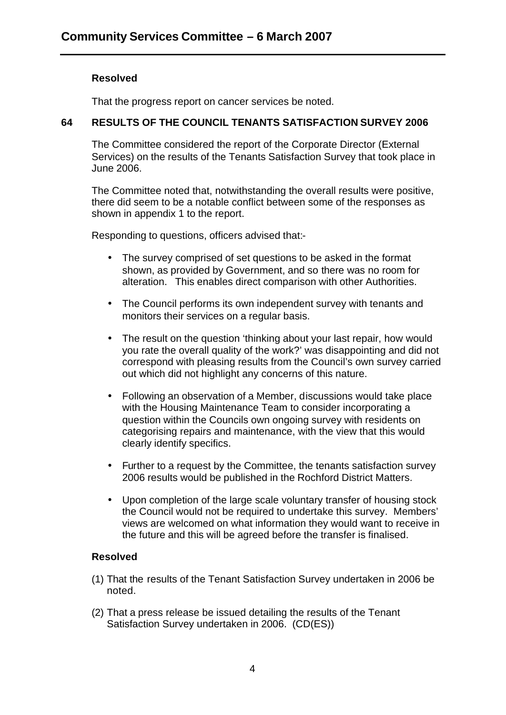## **Resolved**

That the progress report on cancer services be noted.

# **64 RESULTS OF THE COUNCIL TENANTS SATISFACTION SURVEY 2006**

The Committee considered the report of the Corporate Director (External Services) on the results of the Tenants Satisfaction Survey that took place in June 2006.

The Committee noted that, notwithstanding the overall results were positive, there did seem to be a notable conflict between some of the responses as shown in appendix 1 to the report.

Responding to questions, officers advised that:-

- The survey comprised of set questions to be asked in the format shown, as provided by Government, and so there was no room for alteration. This enables direct comparison with other Authorities.
- The Council performs its own independent survey with tenants and monitors their services on a regular basis.
- The result on the question 'thinking about your last repair, how would you rate the overall quality of the work?' was disappointing and did not correspond with pleasing results from the Council's own survey carried out which did not highlight any concerns of this nature.
- Following an observation of a Member, discussions would take place with the Housing Maintenance Team to consider incorporating a question within the Councils own ongoing survey with residents on categorising repairs and maintenance, with the view that this would clearly identify specifics.
- Further to a request by the Committee, the tenants satisfaction survey 2006 results would be published in the Rochford District Matters.
- Upon completion of the large scale voluntary transfer of housing stock the Council would not be required to undertake this survey. Members' views are welcomed on what information they would want to receive in the future and this will be agreed before the transfer is finalised.

## **Resolved**

- (1) That the results of the Tenant Satisfaction Survey undertaken in 2006 be noted.
- (2) That a press release be issued detailing the results of the Tenant Satisfaction Survey undertaken in 2006. (CD(ES))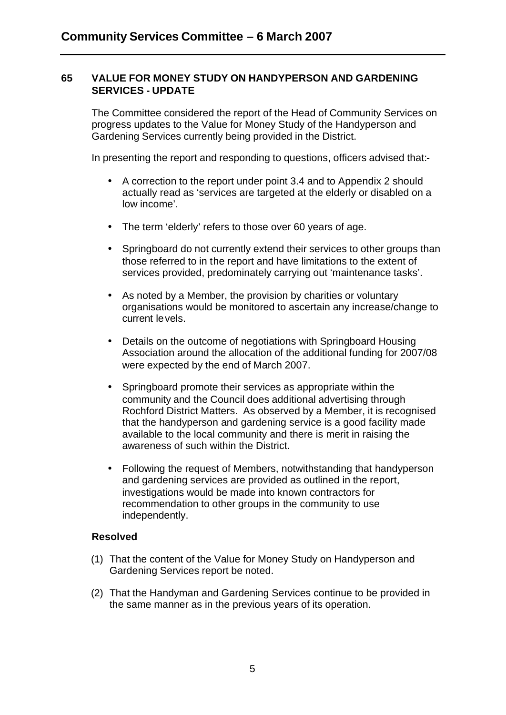### **65 VALUE FOR MONEY STUDY ON HANDYPERSON AND GARDENING SERVICES - UPDATE**

The Committee considered the report of the Head of Community Services on progress updates to the Value for Money Study of the Handyperson and Gardening Services currently being provided in the District.

In presenting the report and responding to questions, officers advised that:-

- A correction to the report under point 3.4 and to Appendix 2 should actually read as 'services are targeted at the elderly or disabled on a low income'.
- The term 'elderly' refers to those over 60 years of age.
- Springboard do not currently extend their services to other groups than those referred to in the report and have limitations to the extent of services provided, predominately carrying out 'maintenance tasks'.
- As noted by a Member, the provision by charities or voluntary organisations would be monitored to ascertain any increase/change to current le vels.
- Details on the outcome of negotiations with Springboard Housing Association around the allocation of the additional funding for 2007/08 were expected by the end of March 2007.
- Springboard promote their services as appropriate within the community and the Council does additional advertising through Rochford District Matters. As observed by a Member, it is recognised that the handyperson and gardening service is a good facility made available to the local community and there is merit in raising the awareness of such within the District.
- Following the request of Members, notwithstanding that handyperson and gardening services are provided as outlined in the report, investigations would be made into known contractors for recommendation to other groups in the community to use independently.

## **Resolved**

- (1) That the content of the Value for Money Study on Handyperson and Gardening Services report be noted.
- (2) That the Handyman and Gardening Services continue to be provided in the same manner as in the previous years of its operation.